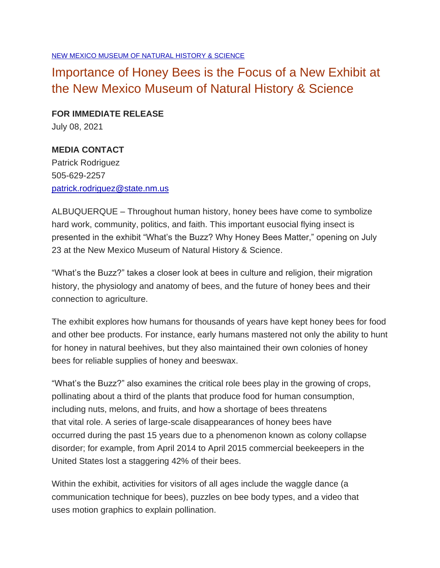[NEW MEXICO MUSEUM OF NATURAL HISTORY & SCIENCE](https://media.nmculture.org/release/30/new-mexico-museum-of)

## Importance of Honey Bees is the Focus of a New Exhibit at the New Mexico Museum of Natural History & Science

**FOR IMMEDIATE RELEASE** July 08, 2021

## **MEDIA CONTACT**

Patrick Rodriguez 505-629-2257 [patrick.rodriguez@state.nm.us](mailto:patrick.rodriguez@state.nm.us)

ALBUQUERQUE – Throughout human history, honey bees have come to symbolize hard work, community, politics, and faith. This important eusocial flying insect is presented in the exhibit "What's the Buzz? Why Honey Bees Matter," opening on July 23 at the New Mexico Museum of Natural History & Science.

"What's the Buzz?" takes a closer look at bees in culture and religion, their migration history, the physiology and anatomy of bees, and the future of honey bees and their connection to agriculture.

The exhibit explores how humans for thousands of years have kept honey bees for food and other bee products. For instance, early humans mastered not only the ability to hunt for honey in natural beehives, but they also maintained their own colonies of honey bees for reliable supplies of honey and beeswax.

"What's the Buzz?" also examines the critical role bees play in the growing of crops, pollinating about a third of the plants that produce food for human consumption, including nuts, melons, and fruits, and how a shortage of bees threatens that vital role. A series of large-scale disappearances of honey bees have occurred during the past 15 years due to a phenomenon known as colony collapse disorder; for example, from April 2014 to April 2015 commercial beekeepers in the United States lost a staggering 42% of their bees.

Within the exhibit, activities for visitors of all ages include the waggle dance (a communication technique for bees), puzzles on bee body types, and a video that uses motion graphics to explain pollination.